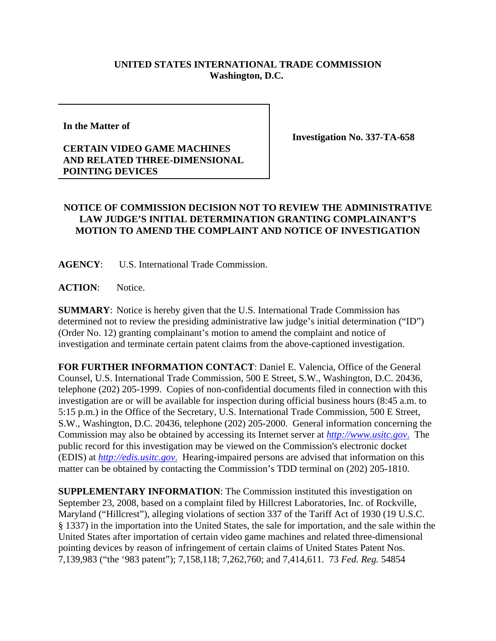## **UNITED STATES INTERNATIONAL TRADE COMMISSION Washington, D.C.**

**In the Matter of** 

**CERTAIN VIDEO GAME MACHINES AND RELATED THREE-DIMENSIONAL POINTING DEVICES**

**Investigation No. 337-TA-658**

## **NOTICE OF COMMISSION DECISION NOT TO REVIEW THE ADMINISTRATIVE LAW JUDGE'S INITIAL DETERMINATION GRANTING COMPLAINANT'S MOTION TO AMEND THE COMPLAINT AND NOTICE OF INVESTIGATION**

**AGENCY**: U.S. International Trade Commission.

ACTION: Notice.

**SUMMARY**: Notice is hereby given that the U.S. International Trade Commission has determined not to review the presiding administrative law judge's initial determination ("ID") (Order No. 12) granting complainant's motion to amend the complaint and notice of investigation and terminate certain patent claims from the above-captioned investigation.

**FOR FURTHER INFORMATION CONTACT**: Daniel E. Valencia, Office of the General Counsel, U.S. International Trade Commission, 500 E Street, S.W., Washington, D.C. 20436, telephone (202) 205-1999. Copies of non-confidential documents filed in connection with this investigation are or will be available for inspection during official business hours (8:45 a.m. to 5:15 p.m.) in the Office of the Secretary, U.S. International Trade Commission, 500 E Street, S.W., Washington, D.C. 20436, telephone (202) 205-2000. General information concerning the Commission may also be obtained by accessing its Internet server at *http://www.usitc.gov*. The public record for this investigation may be viewed on the Commission's electronic docket (EDIS) at *http://edis.usitc.gov*. Hearing-impaired persons are advised that information on this matter can be obtained by contacting the Commission's TDD terminal on (202) 205-1810.

**SUPPLEMENTARY INFORMATION**: The Commission instituted this investigation on September 23, 2008, based on a complaint filed by Hillcrest Laboratories, Inc. of Rockville, Maryland ("Hillcrest"), alleging violations of section 337 of the Tariff Act of 1930 (19 U.S.C. § 1337) in the importation into the United States, the sale for importation, and the sale within the United States after importation of certain video game machines and related three-dimensional pointing devices by reason of infringement of certain claims of United States Patent Nos. 7,139,983 ("the '983 patent"); 7,158,118; 7,262,760; and 7,414,611. 73 *Fed. Reg.* 54854